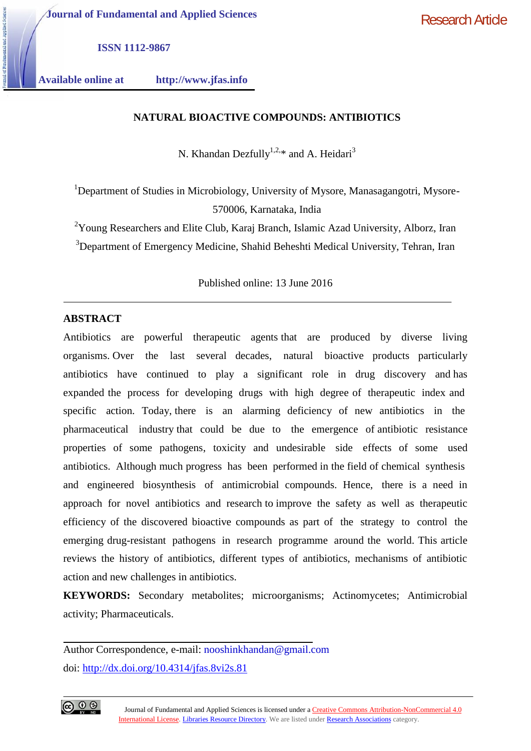**Journal of Fundamental and Applied Sciences**

Research Article

**ISSN 1112-9867**

**Available online at http://www.jfas.info**

### **NATURAL BIOACTIVE COMPOUNDS: ANTIBIOTICS**

N. Khandan Dezfully<sup>1,2,\*</sup> and A. Heidari<sup>3</sup>

<sup>1</sup>Department of Studies in Microbiology, University of Mysore, Manasagangotri, Mysore-570006, Karnataka, India

 $2$ Young Researchers and Elite Club, Karaj Branch, Islamic Azad University, Alborz, Iran <sup>3</sup>Department of Emergency Medicine, Shahid Beheshti Medical University, Tehran, Iran

Published online: 13 June 2016

## **ABSTRACT**

Antibiotics are powerful therapeutic agents that are produced by diverse living organisms. Over the last several decades, natural bioactive products particularly antibiotics have continued to play a significant role in drug discovery and has expanded the process for developing drugs with high degree of therapeutic index and specific action. Today, there is an alarming deficiency of new antibiotics in the pharmaceutical industry that could be due to the emergence of antibiotic resistance properties of some pathogens, toxicity and undesirable side effects of some used antibiotics. Although much progress has been performed in the field of chemical synthesis and engineered biosynthesis of antimicrobial compounds. Hence, there is a need in approach for novel antibiotics and research to improve the safety as well as therapeutic efficiency of the discovered bioactive compounds as part of the strategy to control the emerging drug-resistant pathogens in research programme around the world. This article reviews the history of antibiotics, different types of antibiotics, mechanisms of antibiotic action and new challenges in antibiotics.

**KEYWORDS:** Secondary metabolites; microorganisms; Actinomycetes; Antimicrobial activity; Pharmaceuticals.

Author Correspondence, e-mail: nooshinkhandan@gmail.com doi: http://dx.doi.org/10.4314/jfas.8vi2s.81

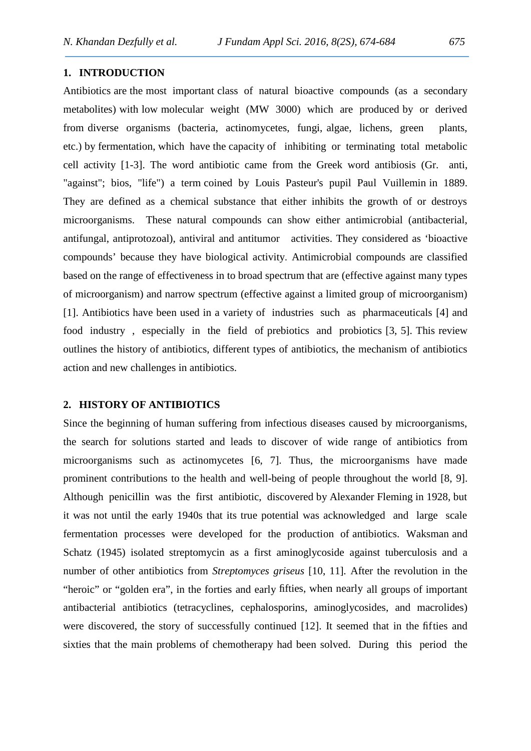### **1. INTRODUCTION**

Antibiotics are the most important class of natural bioactive compounds (as a secondary metabolites) with low molecular weight (MW 3000) which are produced by or derived from diverse organisms (bacteria, actinomycetes, fungi, algae, lichens, green plants, etc.) by fermentation, which have the capacity of inhibiting or terminating total metabolic cell activity [1-3]. The word antibiotic came from the Greek word antibiosis (Gr. anti, "against"; bios, "life") a term coined by Louis Pasteur's pupil Paul Vuillemin in 1889. They are defined as a chemical substance that either inhibits the growth of or destroys microorganisms. These natural compounds can show either antimicrobial (antibacterial, antifungal, antiprotozoal), antiviral and antitumor activities. They considered as 'bioactive compounds' because they have biological activity. Antimicrobial compounds are classified based on the range of effectiveness in to broad spectrum that are (effective against many types of microorganism) and narrow spectrum (effective against a limited group of microorganism) [1]. Antibiotics have been used in a variety of industries such as pharmaceuticals [4] and food industry , especially in the field of prebiotics and probiotics [3, 5]. This review outlines the history of antibiotics, different types of antibiotics, the mechanism of antibiotics action and new challenges in antibiotics.

## **2. HISTORY OF ANTIBIOTICS**

Since the beginning of human suffering from infectious diseases caused by microorganisms, the search for solutions started and leads to discover of wide range of antibiotics from microorganisms such as actinomycetes [6, 7]. Thus, the microorganisms have made prominent contributions to the health and well-being of people throughout the world [8, 9]. Although penicillin was the first antibiotic, discovered by Alexander Fleming in 1928, but it was not until the early 1940s that its true potential was acknowledged and large scale fermentation processes were developed for the production of antibiotics. Waksman and Schatz (1945) isolated streptomycin as a first aminoglycoside against tuberculosis and a number of other antibiotics from *Streptomyces griseus* [10, 11]*.* After the revolution in the "heroic" or "golden era", in the forties and early fifties, when nearly all groups of important antibacterial antibiotics (tetracyclines, cephalosporins, aminoglycosides, and macrolides) were discovered, the story of successfully continued [12]. It seemed that in the fifties and sixties that the main problems of chemotherapy had been solved. During this period the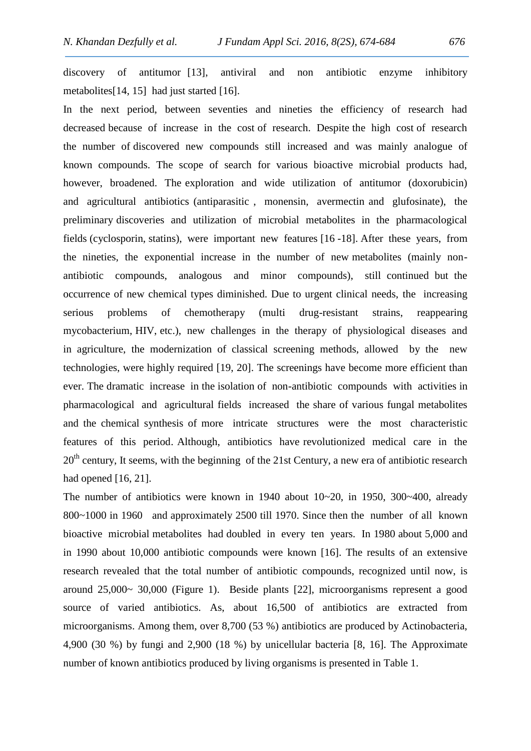discovery of antitumor [13], antiviral and non antibiotic enzyme inhibitory metabolites[14, 15] had just started [16].

In the next period, between seventies and nineties the efficiency of research had decreased because of increase in the cost of research. Despite the high cost of research the number of discovered new compounds still increased and was mainly analogue of known compounds. The scope of search for various bioactive microbial products had, however, broadened. The exploration and wide utilization of antitumor (doxorubicin) and agricultural antibiotics (antiparasitic , monensin, avermectin and glufosinate), the preliminary discoveries and utilization of microbial metabolites in the pharmacological fields (cyclosporin, statins), were important new features [16 -18]. After these years, from the nineties, the exponential increase in the number of new metabolites (mainly non antibiotic compounds, analogous and minor compounds), still continued but the occurrence of new chemical types diminished. Due to urgent clinical needs, the increasing serious problems of chemotherapy (multi drug-resistant strains, reappearing mycobacterium, HIV, etc.), new challenges in the therapy of physiological diseases and in agriculture, the modernization of classical screening methods, allowed by the new technologies, were highly required [19, 20]. The screenings have become more efficient than ever. The dramatic increase in the isolation of non-antibiotic compounds with activities in pharmacological and agricultural fields increased the share of various fungal metabolites and the chemical synthesis of more intricate structures were the most characteristic features of this period. Although, antibiotics have revolutionized medical care in the 20<sup>th</sup> century, It seems, with the beginning of the 21st Century, a new era of antibiotic research had opened [16, 21].

The number of antibiotics were known in 1940 about 10~20, in 1950, 300~400, already 800~1000 in 1960 and approximately 2500 till 1970. Since then the number of all known bioactive microbial metabolites had doubled in every ten years. In 1980 about 5,000 and in 1990 about 10,000 antibiotic compounds were known [16]. The results of an extensive research revealed that the total number of antibiotic compounds, recognized until now, is around 25,000~ 30,000 (Figure 1). Beside plants [22], microorganisms represent a good source of varied antibiotics. As, about 16,500 of antibiotics are extracted from microorganisms. Among them, over 8,700 (53 %) antibiotics are produced by Actinobacteria, 4,900 (30 %) by fungi and 2,900 (18 %) by unicellular bacteria [8, 16]. The Approximate number of known antibiotics produced by living organisms is presented in Table 1.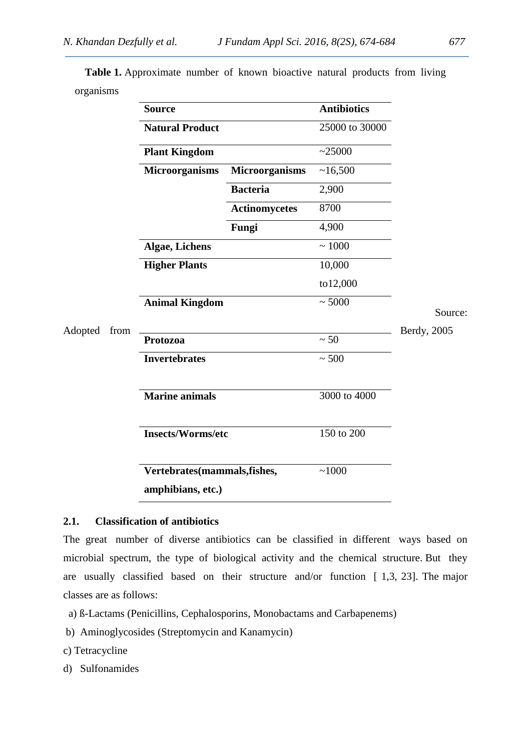**Table 1.** Approximate number of known bioactive natural products from living organisms

|                 | <b>Source</b>            |                             | <b>Antibiotics</b> |             |
|-----------------|--------------------------|-----------------------------|--------------------|-------------|
|                 | <b>Natural Product</b>   |                             | 25000 to 30000     |             |
|                 | <b>Plant Kingdom</b>     |                             | ~25000             |             |
|                 | <b>Microorganisms</b>    | <b>Microorganisms</b>       | ~16,500            |             |
|                 |                          | <b>Bacteria</b>             | 2,900              |             |
|                 |                          | <b>Actinomycetes</b>        | 8700               |             |
|                 |                          | Fungi                       | 4,900              |             |
|                 | <b>Algae, Lichens</b>    |                             | $\sim 1000$        |             |
|                 | <b>Higher Plants</b>     |                             | 10,000             |             |
|                 |                          |                             | to12,000           |             |
|                 |                          | <b>Animal Kingdom</b>       |                    | Source:     |
| Adopted<br>from |                          |                             |                    | Berdy, 2005 |
|                 | Protozoa                 |                             | $\sim 50$          |             |
|                 | <b>Invertebrates</b>     |                             | $\sim 500$         |             |
|                 | <b>Marine animals</b>    |                             | 3000 to 4000       |             |
|                 | <b>Insects/Worms/etc</b> |                             | 150 to 200         |             |
|                 |                          | Vertebrates(mammals,fishes, |                    |             |
|                 | amphibians, etc.)        |                             |                    |             |

## **2.1. Classification of antibiotics**

The great number of diverse antibiotics can be classified in different ways based on microbial spectrum, the type of biological activity and the chemical structure. But they are usually classified based on their structure and/or function [ 1,3, 23]. The major classes are as follows:

- a) ß-Lactams (Penicillins, Cephalosporins, Monobactams and Carbapenems)
- b) Aminoglycosides (Streptomycin and Kanamycin)
- c) Tetracycline
- d) Sulfonamides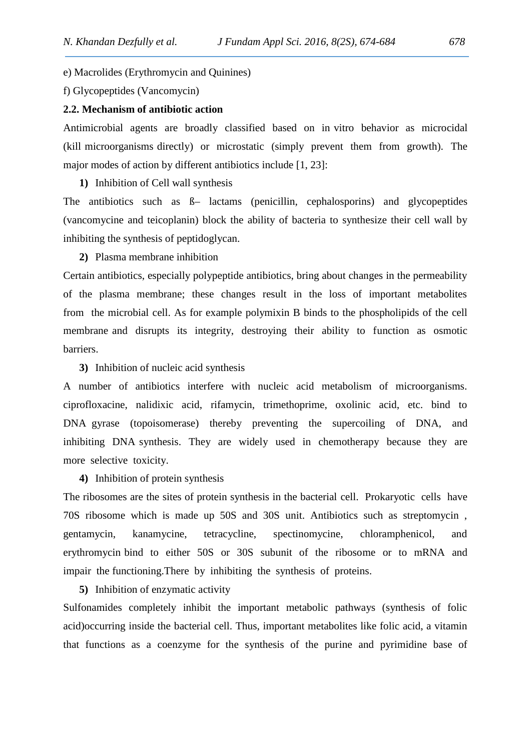e) Macrolides (Erythromycin and Quinines)

f) Glycopeptides (Vancomycin)

### **2.2. Mechanism of antibiotic action**

Antimicrobial agents are broadly classified based on in vitro behavior as microcidal (kill microorganisms directly) or microstatic (simply prevent them from growth). The major modes of action by different antibiotics include [1, 23]:

# **1)** Inhibition of Cell wall synthesis

The antibiotics such as ß– lactams (penicillin, cephalosporins) and glycopeptides (vancomycine and teicoplanin) block the ability of bacteria to synthesize their cell wall by inhibiting the synthesis of peptidoglycan.

### **2)** Plasma membrane inhibition

Certain antibiotics, especially polypeptide antibiotics, bring about changes in the permeability of the plasma membrane; these changes result in the loss of important metabolites from the microbial cell. As for example polymixin B binds to the phospholipids of the cell membrane and disrupts its integrity, destroying their ability to function as osmotic barriers.

## **3)** Inhibition of nucleic acid synthesis

A number of antibiotics interfere with nucleic acid metabolism of microorganisms. ciprofloxacine, nalidixic acid, rifamycin, trimethoprime, oxolinic acid, etc. bind to DNA gyrase (topoisomerase) thereby preventing the supercoiling of DNA, and inhibiting DNA synthesis. They are widely used in chemotherapy because they are more selective toxicity.

### **4)** Inhibition of protein synthesis

The ribosomes are the sites of protein synthesis in the bacterial cell. Prokaryotic cells have 70S ribosome which is made up 50S and 30S unit. Antibiotics such as streptomycin , gentamycin, kanamycine, tetracycline, spectinomycine, chloramphenicol, and erythromycin bind to either 50S or 30S subunit of the ribosome or to mRNA and impair the functioning.There by inhibiting the synthesis of proteins.

### **5)** Inhibition of enzymatic activity

Sulfonamides completely inhibit the important metabolic pathways (synthesis of folic acid)occurring inside the bacterial cell. Thus, important metabolites like folic acid, a vitamin that functions as a coenzyme for the synthesis of the purine and pyrimidine base of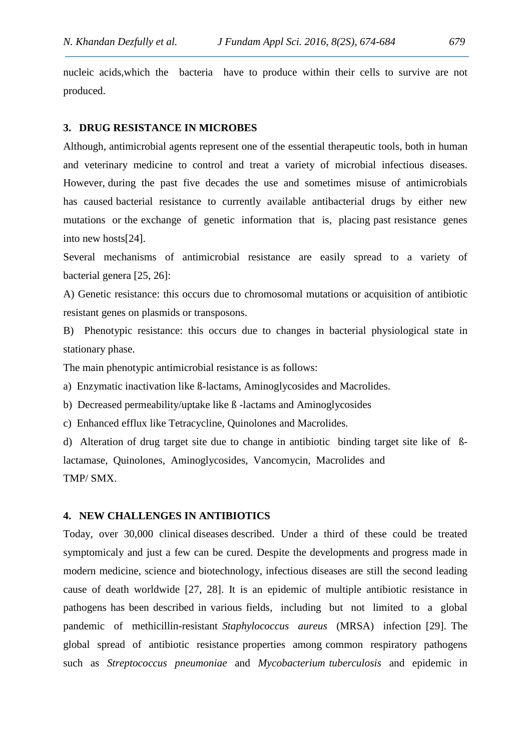nucleic acids,which the bacteria have to produce within their cells to survive are not produced.

#### **3. DRUG RESISTANCE IN MICROBES**

Although, antimicrobial agents represent one of the essential therapeutic tools, both in human and veterinary medicine to control and treat a variety of microbial infectious diseases. However, during the past five decades the use and sometimes misuse of antimicrobials has caused bacterial resistance to currently available antibacterial drugs by either new mutations or the exchange of genetic information that is, placing past resistance genes into new hosts[24].

Several mechanisms of antimicrobial resistance are easily spread to a variety of bacterial genera [25, 26]:

A) Genetic resistance: this occurs due to chromosomal mutations or acquisition of antibiotic resistant genes on plasmids or transposons.

B) Phenotypic resistance: this occurs due to changes in bacterial physiological state in stationary phase.

The main phenotypic antimicrobial resistance is as follows:

a) Enzymatic inactivation like ß-lactams, Aminoglycosides and Macrolides.

b) Decreased permeability/uptake like ß -lactams and Aminoglycosides

c) Enhanced efflux like Tetracycline, Quinolones and Macrolides.

d) Alteration of drug target site due to change in antibiotic binding target site like of ßlactamase, Quinolones, Aminoglycosides, Vancomycin, Macrolides and TMP/ SMX.

### **4. NEW CHALLENGES IN ANTIBIOTICS**

Today, over 30,000 clinical diseases described. Under a third of these could be treated symptomicaly and just a few can be cured. Despite the developments and progress made in modern medicine, science and biotechnology, infectious diseases are still the second leading cause of death worldwide [27, 28]. It is an epidemic of multiple antibiotic resistance in pathogens has been described in various fields, including but not limited to a global pandemic of methicillin-resistant *Staphylococcus aureus* (MRSA) infection [29]. The global spread of antibiotic resistance properties among common respiratory pathogens such as *Streptococcus pneumoniae* and *Mycobacterium tuberculosis* and epidemic in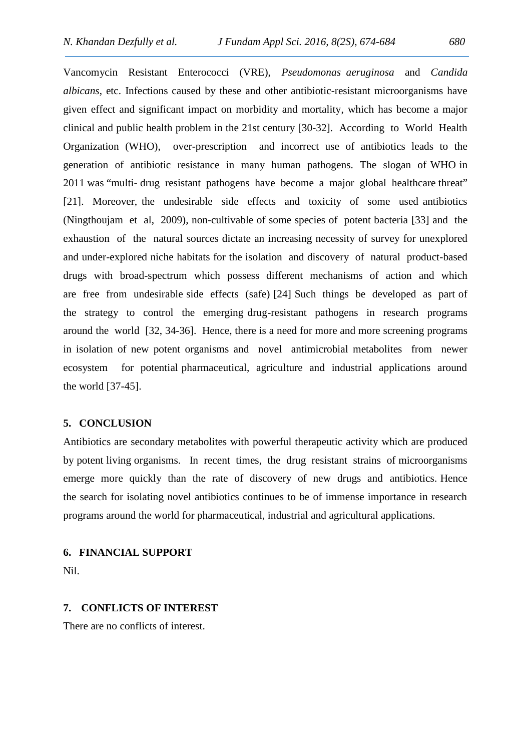Vancomycin Resistant Enterococci (VRE), *Pseudomonas aeruginosa* and *Candida albicans*, etc. Infections caused by these and other antibiotic-resistant microorganisms have given effect and significant impact on morbidity and mortality, which has become a major clinical and public health problem in the 21st century [30-32]. According to World Health Organization (WHO), over-prescription and incorrect use of antibiotics leads to the generation of antibiotic resistance in many human pathogens. The slogan of WHO in 2011 was "multi- drug resistant pathogens have become a major global healthcare threat" [21]. Moreover, the undesirable side effects and toxicity of some used antibiotics (Ningthoujam et al, 2009), non-cultivable of some species of potent bacteria [33] and the exhaustion of the natural sources dictate an increasing necessity of survey for unexplored and under-explored niche habitats for the isolation and discovery of natural product-based drugs with broad-spectrum which possess different mechanisms of action and which are free from undesirable side effects (safe) [24] Such things be developed as part of the strategy to control the emerging drug-resistant pathogens in research programs around the world [32, 34-36]. Hence, there is a need for more and more screening programs in isolation of new potent organisms and novel antimicrobial metabolites from newer ecosystem for potential pharmaceutical, agriculture and industrial applications around the world [37-45].

#### **5. CONCLUSION**

Antibiotics are secondary metabolites with powerful therapeutic activity which are produced by potent living organisms. In recent times, the drug resistant strains of microorganisms emerge more quickly than the rate of discovery of new drugs and antibiotics. Hence the search for isolating novel antibiotics continues to be of immense importance in research programs around the world for pharmaceutical, industrial and agricultural applications.

### **6. FINANCIAL SUPPORT**

Nil.

### **7. CONFLICTS OF INTEREST**

There are no conflicts of interest.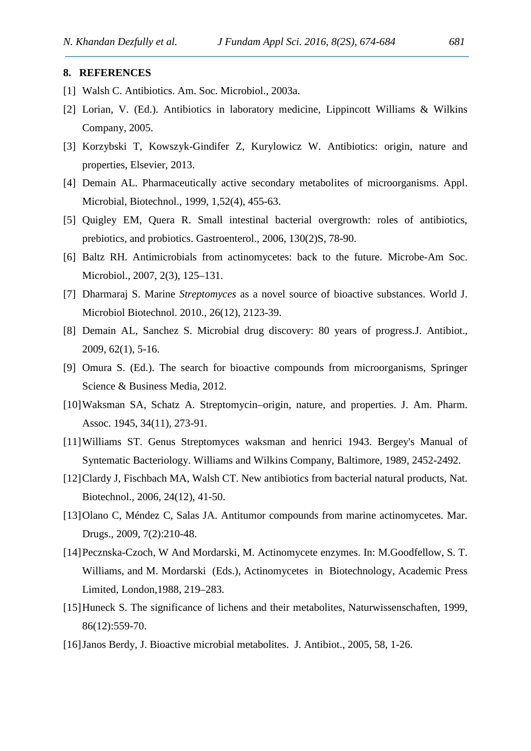#### **8. REFERENCES**

- [1] Walsh C. Antibiotics. Am. Soc. Microbiol., 2003a.
- [2] Lorian, V. (Ed.). Antibiotics in laboratory medicine, Lippincott Williams & Wilkins Company, 2005.
- [3] Korzybski T, Kowszyk-Gindifer Z, Kurylowicz W. Antibiotics: origin, nature and properties, Elsevier, 2013.
- [4] Demain AL. Pharmaceutically active secondary metabolites of microorganisms. Appl. Microbial, Biotechnol., 1999, 1,52(4), 455-63.
- [5] Quigley EM, Quera R. Small intestinal bacterial overgrowth: roles of antibiotics, prebiotics, and probiotics. Gastroenterol., 2006, 130(2)S, 78-90.
- [6] Baltz RH. Antimicrobials from actinomycetes: back to the future. Microbe-Am Soc. Microbiol., 2007, 2(3), 125–131.
- [7] Dharmaraj S. Marine *Streptomyces* as a novel source of bioactive substances. World J. Microbiol Biotechnol. 2010., 26(12), 2123-39.
- [8] Demain AL, Sanchez S. Microbial drug discovery: 80 years of progress.J. Antibiot., 2009, 62(1), 5-16.
- [9] Omura S. (Ed.). The search for bioactive compounds from microorganisms, Springer Science & Business Media, 2012.
- [10]Waksman SA, Schatz A. Streptomycin–origin, nature, and properties. J. Am. Pharm. Assoc. 1945, 34(11), 273-91.
- [11]Williams ST. Genus Streptomyces waksman and henrici 1943. Bergey's Manual of Syntematic Bacteriology. Williams and Wilkins Company, Baltimore, 1989, 2452-2492.
- [12]Clardy J, Fischbach MA, Walsh CT. New antibiotics from bacterial natural products, Nat. Biotechnol., 2006, 24(12), 41-50.
- [13]Olano C, Méndez C, Salas JA. Antitumor compounds from marine actinomycetes. Mar. Drugs., 2009, 7(2):210-48.
- [14]Pecznska-Czoch, W And Mordarski, M. Actinomycete enzymes. In: M.Goodfellow, S. T. Williams, and M. Mordarski (Eds.), Actinomycetes in Biotechnology, Academic Press Limited, London,1988, 219–283.
- [15]Huneck S. The significance of lichens and their metabolites, Naturwissenschaften, 1999, 86(12):559-70.
- [16]Janos Berdy, J. Bioactive microbial metabolites. J. Antibiot., 2005, 58, 1-26.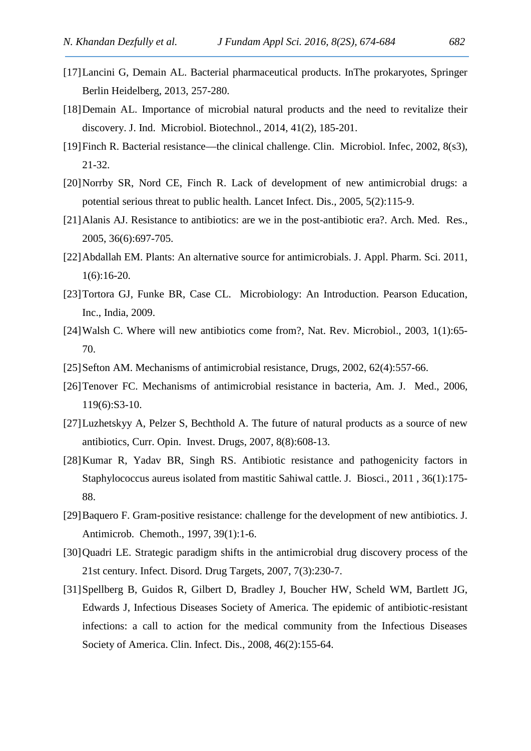- [17]Lancini G, Demain AL. Bacterial pharmaceutical products. InThe prokaryotes, Springer Berlin Heidelberg, 2013, 257-280.
- [18] Demain AL. Importance of microbial natural products and the need to revitalize their discovery. J. Ind. Microbiol. Biotechnol., 2014, 41(2), 185-201.
- [19]Finch R. Bacterial resistance—the clinical challenge. Clin. Microbiol. Infec, 2002, 8(s3), 21-32.
- [20]Norrby SR, Nord CE, Finch R. Lack of development of new antimicrobial drugs: a potential serious threat to public health. Lancet Infect. Dis., 2005, 5(2):115-9.
- [21]Alanis AJ. Resistance to antibiotics: are we in the post-antibiotic era?. Arch. Med. Res., 2005, 36(6):697-705.
- [22]Abdallah EM. Plants: An alternative source for antimicrobials. J. Appl. Pharm. Sci. 2011, 1(6):16-20.
- [23] Tortora GJ, Funke BR, Case CL. Microbiology: An Introduction. Pearson Education, Inc., India, 2009.
- [24]Walsh C. Where will new antibiotics come from?, Nat. Rev. Microbiol., 2003, 1(1):65- 70.
- [25]Sefton AM. Mechanisms of antimicrobial resistance, Drugs, 2002, 62(4):557-66.
- [26] Tenover FC. Mechanisms of antimicrobial resistance in bacteria, Am. J. Med., 2006, 119(6):S3-10.
- [27]Luzhetskyy A, Pelzer S, Bechthold A. The future of natural products as a source of new antibiotics, Curr. Opin. Invest. Drugs, 2007, 8(8):608-13.
- [28]Kumar R, Yadav BR, Singh RS. Antibiotic resistance and pathogenicity factors in Staphylococcus aureus isolated from mastitic Sahiwal cattle. J. Biosci., 2011 , 36(1):175- 88.
- [29]Baquero F. Gram-positive resistance: challenge for the development of new antibiotics. J. Antimicrob. Chemoth., 1997, 39(1):1-6.
- [30]Quadri LE. Strategic paradigm shifts in the antimicrobial drug discovery process of the 21st century. Infect. Disord. Drug Targets, 2007, 7(3):230-7.
- [31]Spellberg B, Guidos R, Gilbert D, Bradley J, Boucher HW, Scheld WM, Bartlett JG, Edwards J, Infectious Diseases Society of America. The epidemic of antibiotic-resistant infections: a call to action for the medical community from the Infectious Diseases Society of America. Clin. Infect. Dis., 2008, 46(2):155-64.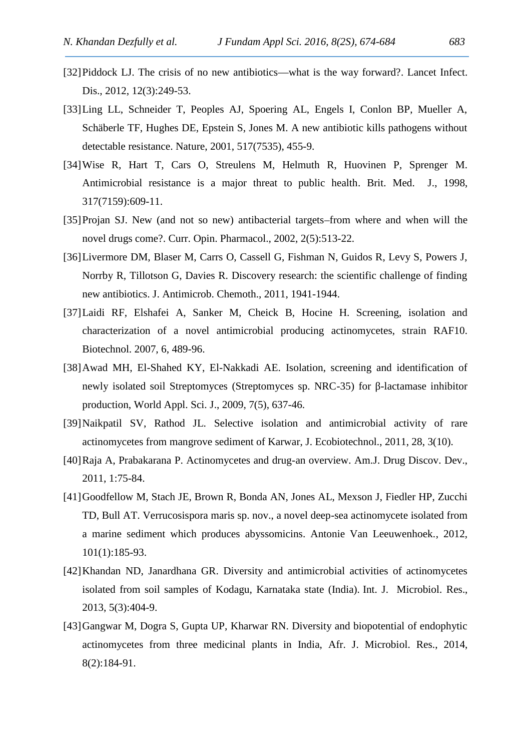- [32]Piddock LJ. The crisis of no new antibiotics—what is the way forward?. Lancet Infect. Dis., 2012, 12(3):249-53.
- [33]Ling LL, Schneider T, Peoples AJ, Spoering AL, Engels I, Conlon BP, Mueller A, Schäberle TF, Hughes DE, Epstein S, Jones M. A new antibiotic kills pathogens without detectable resistance. Nature, 2001, 517(7535), 455-9.
- [34]Wise R, Hart T, Cars O, Streulens M, Helmuth R, Huovinen P, Sprenger M. Antimicrobial resistance is a major threat to public health. Brit. Med. J., 1998, 317(7159):609-11.
- [35]Projan SJ. New (and not so new) antibacterial targets–from where and when will the novel drugs come?. Curr. Opin. Pharmacol., 2002, 2(5):513-22.
- [36]Livermore DM, Blaser M, Carrs O, Cassell G, Fishman N, Guidos R, Levy S, Powers J, Norrby R, Tillotson G, Davies R. Discovery research: the scientific challenge of finding new antibiotics. J. Antimicrob. Chemoth., 2011, 1941-1944.
- [37]Laidi RF, Elshafei A, Sanker M, Cheick B, Hocine H. Screening, isolation and characterization of a novel antimicrobial producing actinomycetes, strain RAF10. Biotechnol. 2007, 6, 489-96.
- [38]Awad MH, El-Shahed KY, El-Nakkadi AE. Isolation, screening and identification of newly isolated soil Streptomyces (Streptomyces sp. NRC-35) for -lactamase inhibitor production, World Appl. Sci. J., 2009, 7(5), 637-46.
- [39]Naikpatil SV, Rathod JL. Selective isolation and antimicrobial activity of rare actinomycetes from mangrove sediment of Karwar, J. Ecobiotechnol., 2011, 28, 3(10).
- [40]Raja A, Prabakarana P. Actinomycetes and drug-an overview. Am.J. Drug Discov. Dev., 2011, 1:75-84.
- [41]Goodfellow M, Stach JE, Brown R, Bonda AN, Jones AL, Mexson J, Fiedler HP, Zucchi TD, Bull AT. Verrucosispora maris sp. nov., a novel deep-sea actinomycete isolated from a marine sediment which produces abyssomicins. Antonie Van Leeuwenhoek., 2012, 101(1):185-93.
- [42]Khandan ND, Janardhana GR. Diversity and antimicrobial activities of actinomycetes isolated from soil samples of Kodagu, Karnataka state (India). Int. J. Microbiol. Res., 2013, 5(3):404-9.
- [43]Gangwar M, Dogra S, Gupta UP, Kharwar RN. Diversity and biopotential of endophytic actinomycetes from three medicinal plants in India, Afr. J. Microbiol. Res., 2014, 8(2):184-91.